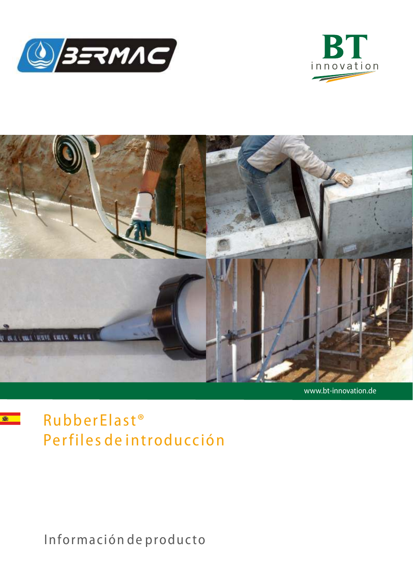





www.bt-innovation.de



RubberElast<sup>®</sup> Perfiles de introducción

Información de producto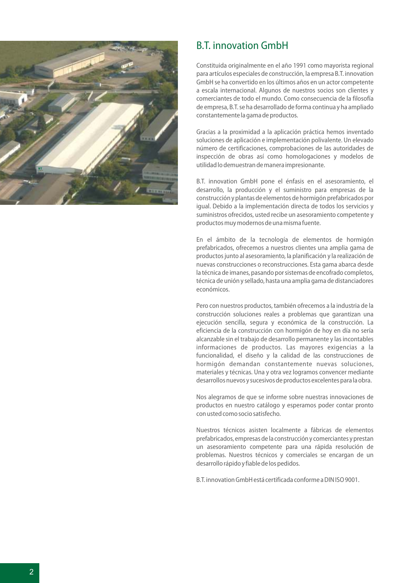

### **B.T. innovation GmbH**

Constituida originalmente en el año 1991 como mayorista regional para artículos especiales de construcción, la empresa B.T. innovation GmbH se ha convertido en los últimos años en un actor competente a escala internacional. Algunos de nuestros socios son clientes y comerciantes de todo el mundo. Como consecuencia de la filosofía de empresa, B.T. se ha desarrollado de forma continua y ha ampliado constantemente la gama de productos.

Gracias a la proximidad a la aplicación práctica hemos inventado soluciones de aplicación e implementación polivalente. Un elevado número de certificaciones, comprobaciones de las autoridades de inspección de obras así como homologaciones y modelos de utilidad lo demuestran de manera impresionante.

B.T. innovation GmbH pone el énfasis en el asesoramiento, el desarrollo, la producción y el suministro para empresas de la construcción y plantas de elementos de hormigón prefabricados por igual. Debido a la implementación directa de todos los servicios y suministros ofrecidos, usted recibe un asesoramiento competente y productos muy modernos de una misma fuente.

En el ámbito de la tecnología de elementos de hormigón prefabricados, ofrecemos a nuestros clientes una amplia gama de productos junto al asesoramiento, la planificación y la realización de nuevas construcciones o reconstrucciones. Esta gama abarca desde la técnica de imanes, pasando por sistemas de encofrado completos, técnica de unión y sellado, hasta una amplia gama de distanciadores económicos.

Pero con nuestros productos, también ofrecemos a la industria de la construcción soluciones reales a problemas que garantizan una ejecución sencilla, segura y económica de la construcción. La eficiencia de la construcción con hormigón de hov en día no sería alcanzable sin el trabajo de desarrollo permanente y las incontables informaciones de productos. Las mayores exigencias a la funcionalidad, el diseño y la calidad de las construcciones de hormigón demandan constantemente nuevas soluciones, materiales y técnicas. Una y otra vez logramos convencer mediante desarrollos nuevos y sucesivos de productos excelentes para la obra.

Nos alegramos de que se informe sobre nuestras innovaciones de productos en nuestro catálogo y esperamos poder contar pronto con usted como socio satisfecho.

Nuestros técnicos asisten localmente a fábricas de elementos prefabricados, empresas de la construcción y comerciantes y prestan un asesoramiento competente para una rápida resolución de problemas. Nuestros técnicos y comerciales se encargan de un desarrollo rápido y fiable de los pedidos.

B.T. innovation GmbH está certificada conforme a DIN ISO 9001.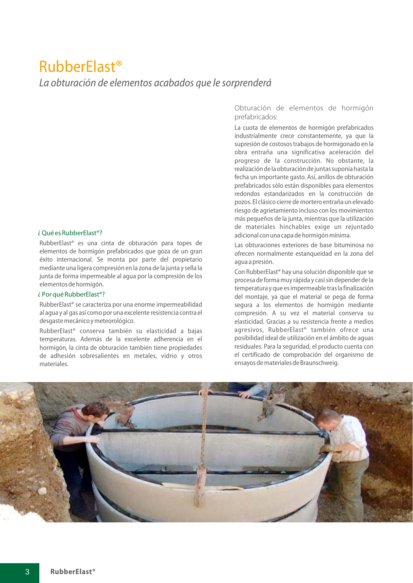## **RubberElast<sup>®</sup>**

La obturación de elementos acabados que le sorprenderá

#### $i$  Oué es Rubber Flast<sup>®</sup>?

RubberElast<sup>®</sup> es una cinta de obturación para topes de elementos de hormigón prefabricados que goza de un gran éxito internacional. Se monta por parte del propietario mediante una ligera compresión en la zona de la junta y sella la junta de forma impermeable al aqua por la compresión de los elementos de hormigón.

#### ¿ Por qué RubberElast<sup>®</sup>?

RubberElast® se caracteriza por una enorme impermeabilidad al aqua y al gas así como por una excelente resistencia contra el desgaste mecánico y meteorológico.

RubberElast<sup>®</sup> conserva también su elasticidad a baias temperaturas. Además de la excelente adherencia en el hormigón, la cinta de obturación también tiene propiedades de adhesión sobresalientes en metales, vidrio y otros materiales.

Obturación de elementos de hormigón prefabricados:

La cuota de elementos de hormigón prefabricados industrialmente crece constantemente, ya que la supresión de costosos trabajos de hormigonado en la obra entraña una significativa aceleración del progreso de la construcción. No obstante, la realización de la obturación de juntas suponía hasta la fecha un importante gasto. Así, anillos de obturación prefabricados sólo están disponibles para elementos redondos estandarizados en la construcción de pozos. El clásico cierre de mortero entraña un elevado riesgo de agrietamiento incluso con los movimientos más pequeños de la junta, mientras que la utilización de materiales hinchables exige un rejuntado adicional con una capa de hormigón mínima.

Las obturaciones exteriores de base bituminosa no ofrecen normalmente estangueidad en la zona del aqua a presión.

Con RubberElast<sup>®</sup> hay una solución disponible que se procesa de forma muy rápida y casi sin depender de la temperatura y que es impermeable tras la finalización del montaje, ya que el material se pega de forma segura a los elementos de hormigón mediante compresión. A su vez el material conserva su elasticidad. Gracias a su resistencia frente a medios agresivos, RubberElast<sup>®</sup> también ofrece una posibilidad ideal de utilización en el ámbito de aguas residuales. Para la seguridad, el producto cuenta con el certificado de comprobación del organismo de ensayos de materiales de Braunschweig.

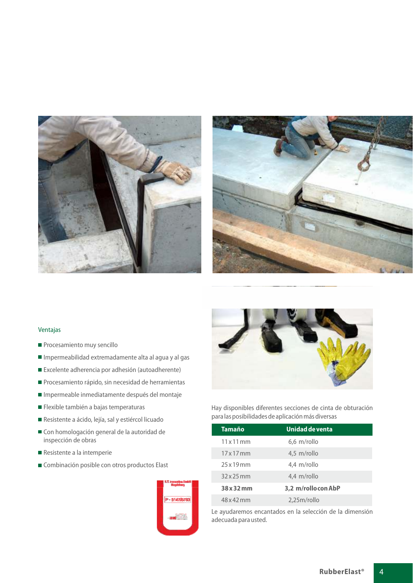



#### Ventajas

- Procesamiento muy sencillo
- Impermeabilidad extremadamente alta al agua y al gas
- Excelente adherencia por adhesión (autoadherente)
- Procesamiento rápido, sin necesidad de herramientas
- Impermeable inmediatamente después del montaje
- Flexible también a bajas temperaturas
- Resistente a ácido, lejía, sal y estiércol licuado
- Con homologación general de la autoridad de inspección de obras
- Resistente a la intemperie
- Combinación posible con otros productos Elast





Hay disponibles diferentes secciones de cinta de obturación para las posibilidades de aplicación más diversas

| Tamaño     | Unidad de venta   |  |
|------------|-------------------|--|
| 11x11mm    | 6,6 m/rollo       |  |
| 17x17mm    | 4,5 m/rollo       |  |
| 25x19mm    | 4,4 m/rollo       |  |
| $32x25$ mm | 4.4 m/rollo       |  |
| 38 x 32 mm | 3,2 m/rolloconAbP |  |
| 48 x 42 mm | 2,25m/rollo       |  |

Le ayudaremos encantados en la selección de la dimensión adecuada para usted.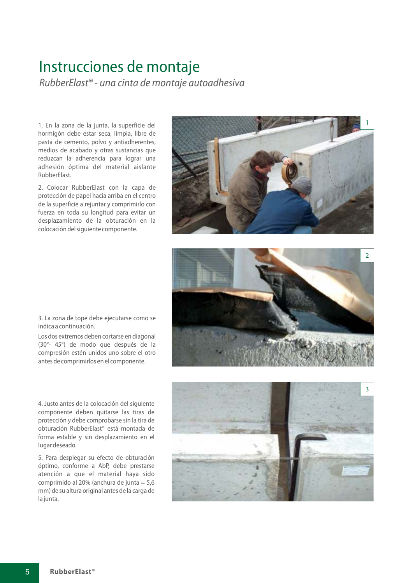## Instrucciones de montaje

RubberElast<sup>®</sup> - una cinta de montaje autoadhesiva

1. En la zona de la junta, la superficie del hormigón debe estar seca, limpia, libre de pasta de cemento, polvo y antiadherentes, medios de acabado y otras sustancias que reduzcan la adherencia para lograr una adhesión óptima del material aislante RubberElast.

2. Colocar RubberElast con la capa de protección de papel hacia arriba en el centro de la superficie a rejuntar y comprimirlo con fuerza en toda su longitud para evitar un desplazamiento de la obturación en la colocación del siguiente componente.





3. La zona de tope debe ejecutarse como se indica a continuación.

Los dos extremos deben cortarse en diagonal (30°- 45°) de modo que después de la compresión estén unidos uno sobre el otro antes de comprimirlos en el componente.

4. Justo antes de la colocación del siguiente componente deben quitarse las tiras de protección y debe comprobarse sin la tira de obturación RubberElast<sup>®</sup> está montada de forma estable y sin desplazamiento en el lugar deseado.

5. Para desplegar su efecto de obturación óptimo, conforme a AbP, debe prestarse atención a que el material haya sido comprimido al 20% (anchura de junta =  $5,6$ mm) de su altura original antes de la carga de la junta.

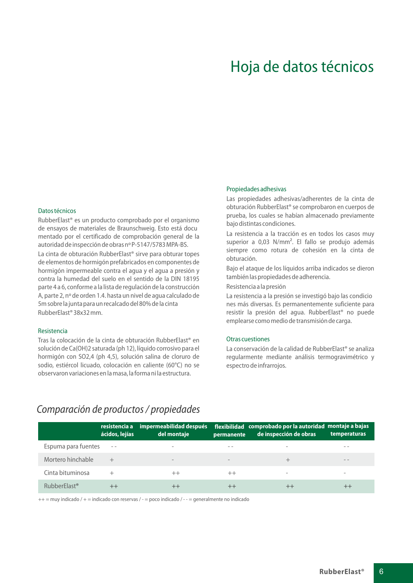## Hoja de datos técnicos

#### Datos técnicos

RubberElast<sup>®</sup> es un producto comprobado por el organismo de ensayos de materiales de Braunschweig. Esto está docu mentado por el certificado de comprobación general de la autoridad de inspección de obras nº P-5147/5783 MPA-BS.

La cinta de obturación RubberElast<sup>®</sup> sirve para obturar topes de elementos de hormigón prefabricados en componentes de hormigón impermeable contra el agua y el agua a presión y contra la humedad del suelo en el sentido de la DIN 18195 parte 4 a 6, conforme a la lista de regulación de la construcción A, parte 2, nº de orden 1.4. hasta un nivel de agua calculado de 5m sobre la junta para un recalcado del 80% de la cinta RubberElast® 38x32 mm.

#### Resistencia

Tras la colocación de la cinta de obturación RubberElast® en solución de Ca(OH)2 saturada (ph 12), líquido corrosivo para el hormigón con SO2,4 (ph 4,5), solución salina de cloruro de sodio, estiércol licuado, colocación en caliente (60°C) no se observaron variaciones en la masa, la forma ni la estructura.

#### Propiedades adhesivas

Las propiedades adhesivas/adherentes de la cinta de obturación RubberElast® se comprobaron en cuerpos de prueba, los cuales se habían almacenado previamente bajo distintas condiciones.

La resistencia a la tracción es en todos los casos muy superior a 0,03 N/mm<sup>2</sup>. El fallo se produjo además siempre como rotura de cohesión en la cinta de obturación.

Bajo el ataque de los líquidos arriba indicados se dieron también las propiedades de adherencia.

Resistencia a la presión

La resistencia a la presión se investigó bajo las condicio nes más diversas. Es permanentemente suficiente para resistir la presión del aqua. RubberElast<sup>®</sup> no puede emplearse como medio de transmisión de carga.

#### Otras cuestiones

La conservación de la calidad de RubberElast<sup>®</sup> se analiza regularmente mediante análisis termogravimétrico y espectro de infrarrojos.

#### Comparación de productos / propiedades

|                          | resistencia a<br>ácidos, lejías | impermeabilidad después<br>del montaje | permanente               | flexibilidad comprobado por la autoridad montaje a bajas<br>de inspección de obras | temperaturas             |
|--------------------------|---------------------------------|----------------------------------------|--------------------------|------------------------------------------------------------------------------------|--------------------------|
| Espuma para fuentes      | $\sim$ $-$                      | -                                      | $ -$                     | -                                                                                  | $ -$                     |
| Mortero hinchable        | $^{+}$                          | -                                      | $\overline{\phantom{m}}$ |                                                                                    | $ -$                     |
| Cinta bituminosa         | $^+$                            | $^{++}$                                | $^{++}$                  | $\overline{\phantom{a}}$                                                           | $\overline{\phantom{a}}$ |
| RubberElast <sup>®</sup> |                                 | $^{++}$                                |                          | $^{++}$                                                                            |                          |

 $++=$  muy indicado /  $+=$  indicado con reservas / - = poco indicado / - - = generalmente no indicado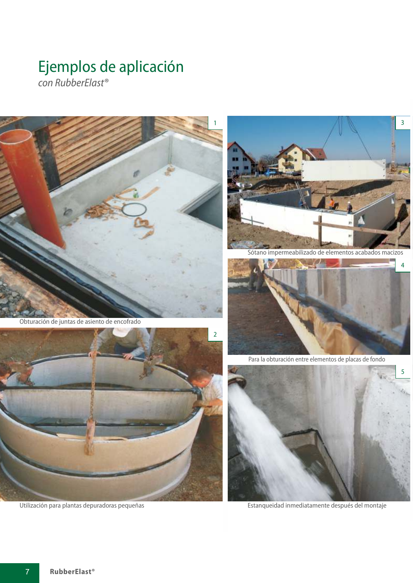## Ejemplos de aplicación

con RubberElast<sup>®</sup>



Obturación de juntas de asiento de encofrado



Utilización para plantas depuradoras pequeñas



Sótano impermeabilizado de elementos acabados macizos



Para la obturación entre elementos de placas de fondo



Estanqueidad inmediatamente después del montaje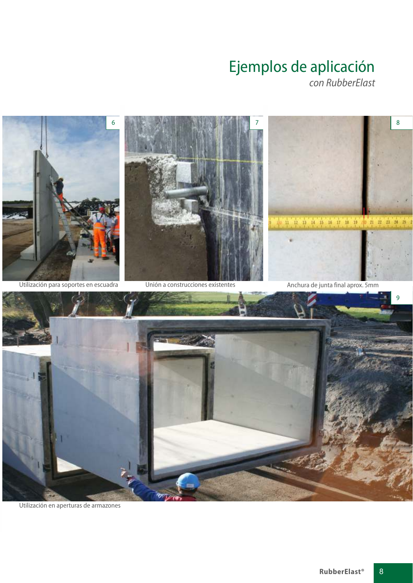# Ejemplos de aplicación



Utilización en aperturas de armazones